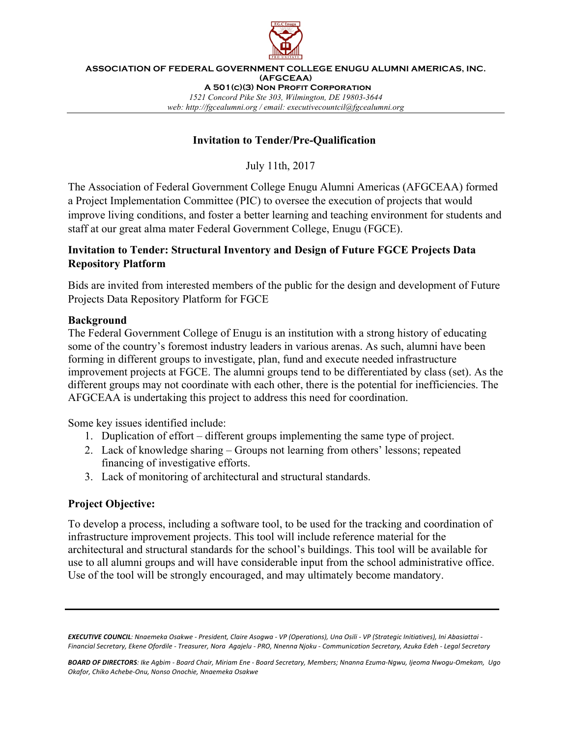

**ASSOCIATION OF FEDERAL GOVERNMENT COLLEGE ENUGU ALUMNI AMERICAS, INC. (AFGCEAA) A 501(c)(3) Non Profit Corporation** *1521 Concord Pike Ste 303, Wilmington, DE 19803-3644 web: http://fgcealumni.org / email: executivecountcil@fgcealumni.org*

#### **Invitation to Tender/Pre-Qualification**

July 11th, 2017

The Association of Federal Government College Enugu Alumni Americas (AFGCEAA) formed a Project Implementation Committee (PIC) to oversee the execution of projects that would improve living conditions, and foster a better learning and teaching environment for students and staff at our great alma mater Federal Government College, Enugu (FGCE).

## **Invitation to Tender: Structural Inventory and Design of Future FGCE Projects Data Repository Platform**

Bids are invited from interested members of the public for the design and development of Future Projects Data Repository Platform for FGCE

#### **Background**

The Federal Government College of Enugu is an institution with a strong history of educating some of the country's foremost industry leaders in various arenas. As such, alumni have been forming in different groups to investigate, plan, fund and execute needed infrastructure improvement projects at FGCE. The alumni groups tend to be differentiated by class (set). As the different groups may not coordinate with each other, there is the potential for inefficiencies. The AFGCEAA is undertaking this project to address this need for coordination.

Some key issues identified include:

- 1. Duplication of effort different groups implementing the same type of project.
- 2. Lack of knowledge sharing Groups not learning from others' lessons; repeated financing of investigative efforts.
- 3. Lack of monitoring of architectural and structural standards.

## **Project Objective:**

To develop a process, including a software tool, to be used for the tracking and coordination of infrastructure improvement projects. This tool will include reference material for the architectural and structural standards for the school's buildings. This tool will be available for use to all alumni groups and will have considerable input from the school administrative office. Use of the tool will be strongly encouraged, and may ultimately become mandatory.

**EXECUTIVE COUNCIL**: Nnaemeka Osakwe - President, Claire Asogwa - VP (Operations), Una Osili - VP (Strategic Initiatives), Ini Abasiattai -*Financial Secretary, Ekene Ofordile - Treasurer, Nora Agajelu - PRO, Nnenna Njoku - Communication Secretary, Azuka Edeh - Legal Secretary*

BOARD OF DIRECTORS: Ike Agbim - Board Chair, Miriam Ene - Board Secretary, Members; Nnanna Ezuma-Ngwu, Ijeoma Nwogu-Omekam, Ugo *Okafor, Chiko Achebe-Onu, Nonso Onochie, Nnaemeka Osakwe*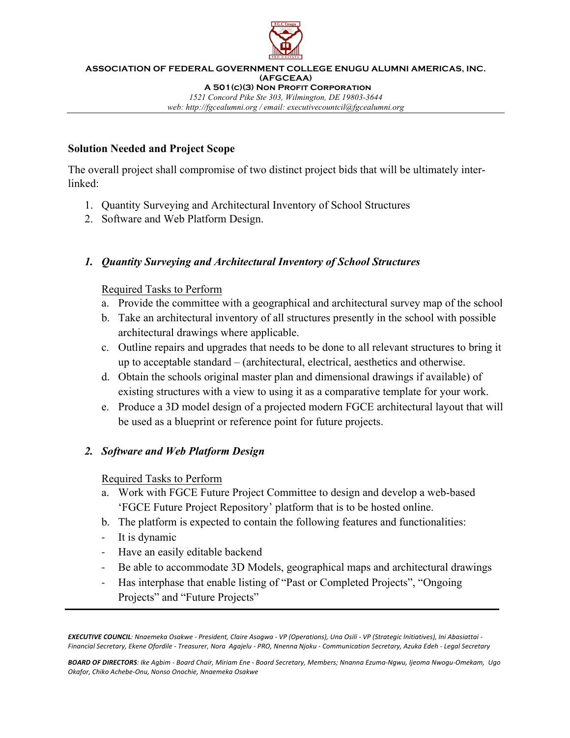

**ASSOCIATION OF FEDERAL GOVERNMENT COLLEGE ENUGU ALUMNI AMERICAS, INC. (AFGCEAA) A 501(c)(3) Non Profit Corporation** *1521 Concord Pike Ste 303, Wilmington, DE 19803-3644 web: http://fgcealumni.org / email: executivecountcil@fgcealumni.org*

#### **Solution Needed and Project Scope**

The overall project shall compromise of two distinct project bids that will be ultimately interlinked:

- 1. Quantity Surveying and Architectural Inventory of School Structures
- 2. Software and Web Platform Design.

## *1. Quantity Surveying and Architectural Inventory of School Structures*

## Required Tasks to Perform

- a. Provide the committee with a geographical and architectural survey map of the school
- b. Take an architectural inventory of all structures presently in the school with possible architectural drawings where applicable.
- c. Outline repairs and upgrades that needs to be done to all relevant structures to bring it up to acceptable standard – (architectural, electrical, aesthetics and otherwise.
- d. Obtain the schools original master plan and dimensional drawings if available) of existing structures with a view to using it as a comparative template for your work.
- e. Produce a 3D model design of a projected modern FGCE architectural layout that will be used as a blueprint or reference point for future projects.

## *2. Software and Web Platform Design*

## Required Tasks to Perform

- a. Work with FGCE Future Project Committee to design and develop a web-based 'FGCE Future Project Repository' platform that is to be hosted online.
- b. The platform is expected to contain the following features and functionalities:
- It is dynamic
- Have an easily editable backend
- Be able to accommodate 3D Models, geographical maps and architectural drawings
- Has interphase that enable listing of "Past or Completed Projects", "Ongoing Projects" and "Future Projects"

**EXECUTIVE COUNCIL**: Nnaemeka Osakwe - President, Claire Asogwa - VP (Operations), Una Osili - VP (Strategic Initiatives), Ini Abasiattai -*Financial Secretary, Ekene Ofordile - Treasurer, Nora Agajelu - PRO, Nnenna Njoku - Communication Secretary, Azuka Edeh - Legal Secretary*

*BOARD OF DIRECTORS: Ike Agbim - Board Chair, Miriam Ene - Board Secretary, Members; Nnanna Ezuma-Ngwu, Ijeoma Nwogu-Omekam, Ugo Okafor, Chiko Achebe-Onu, Nonso Onochie, Nnaemeka Osakwe*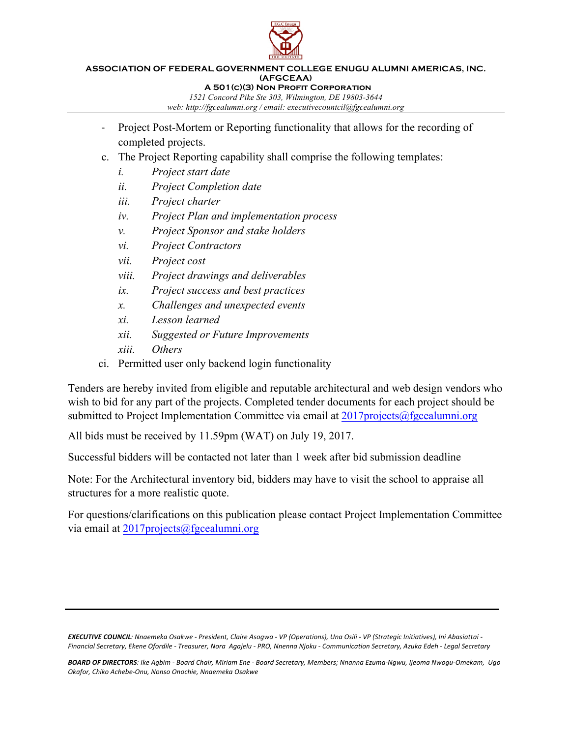

#### **ASSOCIATION OF FEDERAL GOVERNMENT COLLEGE ENUGU ALUMNI AMERICAS, INC. (AFGCEAA) A 501(c)(3) Non Profit Corporation**

*1521 Concord Pike Ste 303, Wilmington, DE 19803-3644*

*web: http://fgcealumni.org / email: executivecountcil@fgcealumni.org*

- Project Post-Mortem or Reporting functionality that allows for the recording of completed projects.
- c. The Project Reporting capability shall comprise the following templates:
	- *i. Project start date*
	- *ii. Project Completion date*
	- *iii. Project charter*
	- *iv. Project Plan and implementation process*
	- *v. Project Sponsor and stake holders*
	- *vi. Project Contractors*
	- *vii. Project cost*
	- *viii. Project drawings and deliverables*
	- *ix. Project success and best practices*
	- *x. Challenges and unexpected events*
	- *xi. Lesson learned*
	- *xii. Suggested or Future Improvements*
	- *xiii. Others*
- ci. Permitted user only backend login functionality

Tenders are hereby invited from eligible and reputable architectural and web design vendors who wish to bid for any part of the projects. Completed tender documents for each project should be submitted to Project Implementation Committee via email at  $2017$ projects@fgcealumni.org

All bids must be received by 11.59pm (WAT) on July 19, 2017.

Successful bidders will be contacted not later than 1 week after bid submission deadline

Note: For the Architectural inventory bid, bidders may have to visit the school to appraise all structures for a more realistic quote.

For questions/clarifications on this publication please contact Project Implementation Committee via email at 2017projects@fgcealumni.org

**EXECUTIVE COUNCIL***:* Nnaemeka Osakwe - President, Claire Asogwa - VP (Operations), Una Osili - VP (Strategic Initiatives), Ini Abasiattai -*Financial Secretary, Ekene Ofordile - Treasurer, Nora Agajelu - PRO, Nnenna Njoku - Communication Secretary, Azuka Edeh - Legal Secretary*

BOARD OF DIRECTORS: Ike Agbim - Board Chair, Miriam Ene - Board Secretary, Members; Nnanna Ezuma-Ngwu, Ijeoma Nwogu-Omekam, Ugo *Okafor, Chiko Achebe-Onu, Nonso Onochie, Nnaemeka Osakwe*